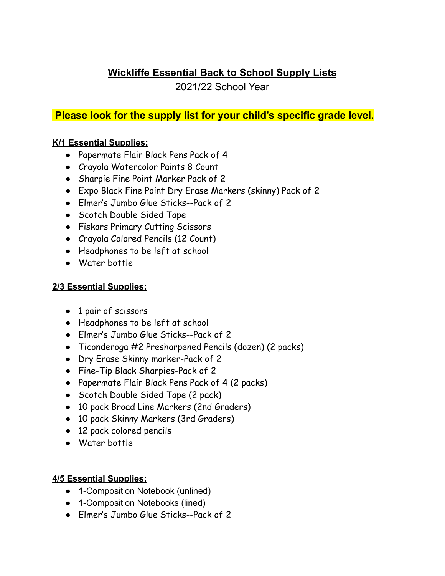# **Wickliffe Essential Back to School Supply Lists**

2021/22 School Year

## **Please look for the supply list for your child's specific grade level.**

### **K/1 Essential Supplies:**

- Papermate Flair Black Pens Pack of 4
- Crayola Watercolor Paints 8 Count
- Sharpie Fine Point Marker Pack of 2
- Expo Black Fine Point Dry Erase Markers (skinny) Pack of 2
- Elmer's Jumbo Glue Sticks--Pack of 2
- Scotch Double Sided Tape
- Fiskars Primary Cutting Scissors
- Crayola Colored Pencils (12 Count)
- Headphones to be left at school
- Water bottle

#### **2/3 Essential Supplies:**

- 1 pair of scissors
- Headphones to be left at school
- Elmer's Jumbo Glue Sticks--Pack of 2
- Ticonderoga #2 Presharpened Pencils (dozen) (2 packs)
- Dry Erase Skinny marker-Pack of 2
- Fine-Tip Black Sharpies-Pack of 2
- Papermate Flair Black Pens Pack of 4 (2 packs)
- Scotch Double Sided Tape (2 pack)
- 10 pack Broad Line Markers (2nd Graders)
- 10 pack Skinny Markers (3rd Graders)
- 12 pack colored pencils
- Water bottle

#### **4/5 Essential Supplies:**

- 1-Composition Notebook (unlined)
- 1-Composition Notebooks (lined)
- Elmer's Jumbo Glue Sticks--Pack of 2